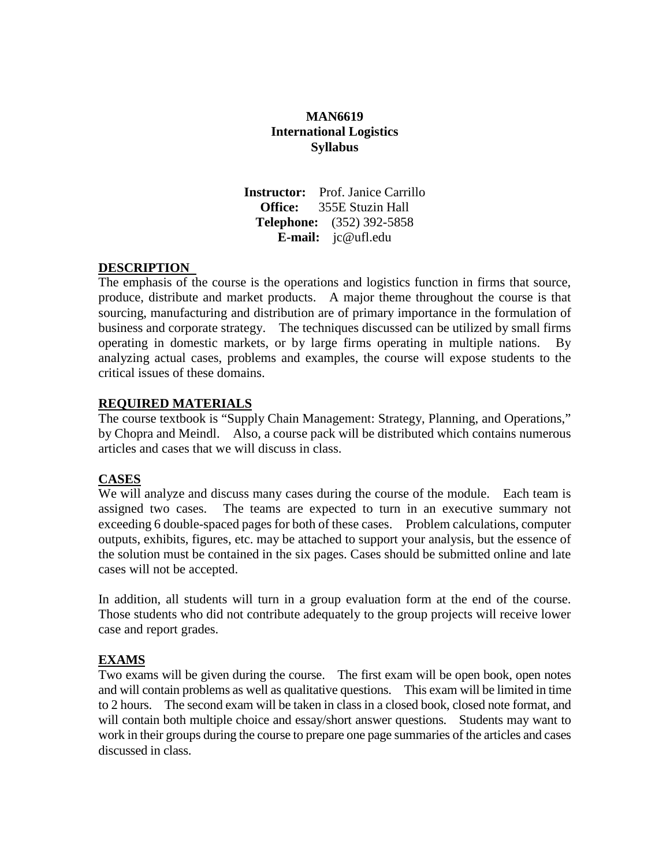## **MAN6619 International Logistics Syllabus**

**Instructor:** Prof. Janice Carrillo **Office:** 355E Stuzin Hall **Telephone:** (352) 392-5858 **E-mail:** [jc@ufl.edu](mailto:jc@ufl.edu)

## **DESCRIPTION**

The emphasis of the course is the operations and logistics function in firms that source, produce, distribute and market products. A major theme throughout the course is that sourcing, manufacturing and distribution are of primary importance in the formulation of business and corporate strategy. The techniques discussed can be utilized by small firms operating in domestic markets, or by large firms operating in multiple nations. By analyzing actual cases, problems and examples, the course will expose students to the critical issues of these domains.

#### **REQUIRED MATERIALS**

The course textbook is "Supply Chain Management: Strategy, Planning, and Operations," by Chopra and Meindl. Also, a course pack will be distributed which contains numerous articles and cases that we will discuss in class.

## **CASES**

We will analyze and discuss many cases during the course of the module. Each team is assigned two cases. The teams are expected to turn in an executive summary not exceeding 6 double-spaced pages for both of these cases. Problem calculations, computer outputs, exhibits, figures, etc. may be attached to support your analysis, but the essence of the solution must be contained in the six pages. Cases should be submitted online and late cases will not be accepted.

In addition, all students will turn in a group evaluation form at the end of the course. Those students who did not contribute adequately to the group projects will receive lower case and report grades.

## **EXAMS**

Two exams will be given during the course. The first exam will be open book, open notes and will contain problems as well as qualitative questions. This exam will be limited in time to 2 hours. The second exam will be taken in class in a closed book, closed note format, and will contain both multiple choice and essay/short answer questions. Students may want to work in their groups during the course to prepare one page summaries of the articles and cases discussed in class.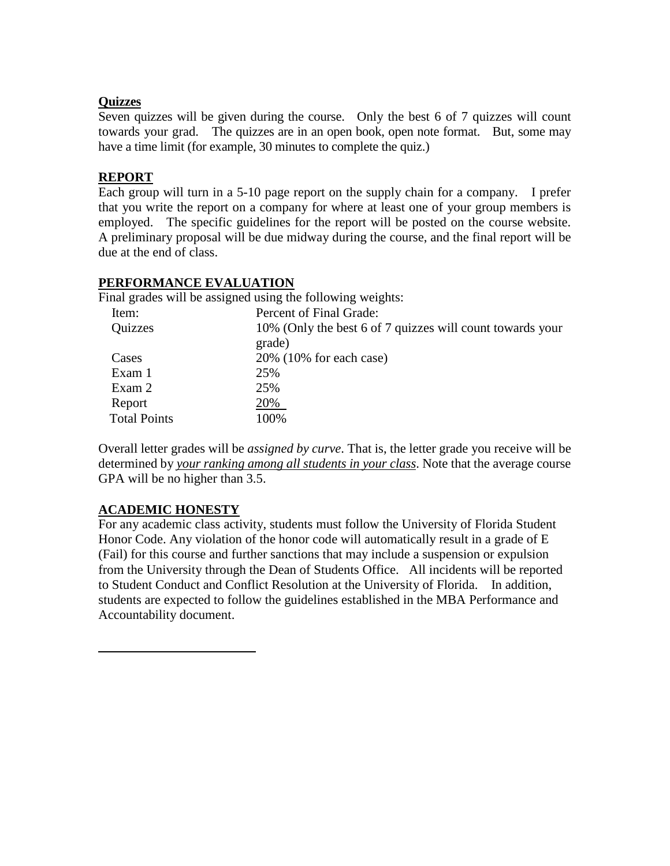## **Quizzes**

Seven quizzes will be given during the course. Only the best 6 of 7 quizzes will count towards your grad. The quizzes are in an open book, open note format. But, some may have a time limit (for example, 30 minutes to complete the quiz.)

## **REPORT**

Each group will turn in a 5-10 page report on the supply chain for a company. I prefer that you write the report on a company for where at least one of your group members is employed. The specific guidelines for the report will be posted on the course website. A preliminary proposal will be due midway during the course, and the final report will be due at the end of class.

# **PERFORMANCE EVALUATION**

Final grades will be assigned using the following weights:

| Item:               | Percent of Final Grade:                                   |
|---------------------|-----------------------------------------------------------|
| Quizzes             | 10% (Only the best 6 of 7 quizzes will count towards your |
|                     | grade)                                                    |
| Cases               | $20\%$ (10% for each case)                                |
| Exam 1              | 25%                                                       |
| Exam 2              | 25%                                                       |
| Report              | 20%                                                       |
| <b>Total Points</b> | 100%                                                      |
|                     |                                                           |

Overall letter grades will be *assigned by curve*. That is, the letter grade you receive will be determined by *your ranking among all students in your class*. Note that the average course GPA will be no higher than 3.5.

## **ACADEMIC HONESTY**

For any academic class activity, students must follow the University of Florida Student Honor Code. Any violation of the honor code will automatically result in a grade of E (Fail) for this course and further sanctions that may include a suspension or expulsion from the University through the Dean of Students Office. All incidents will be reported to Student Conduct and Conflict Resolution at the University of Florida. In addition, students are expected to follow the guidelines established in the MBA Performance and Accountability document.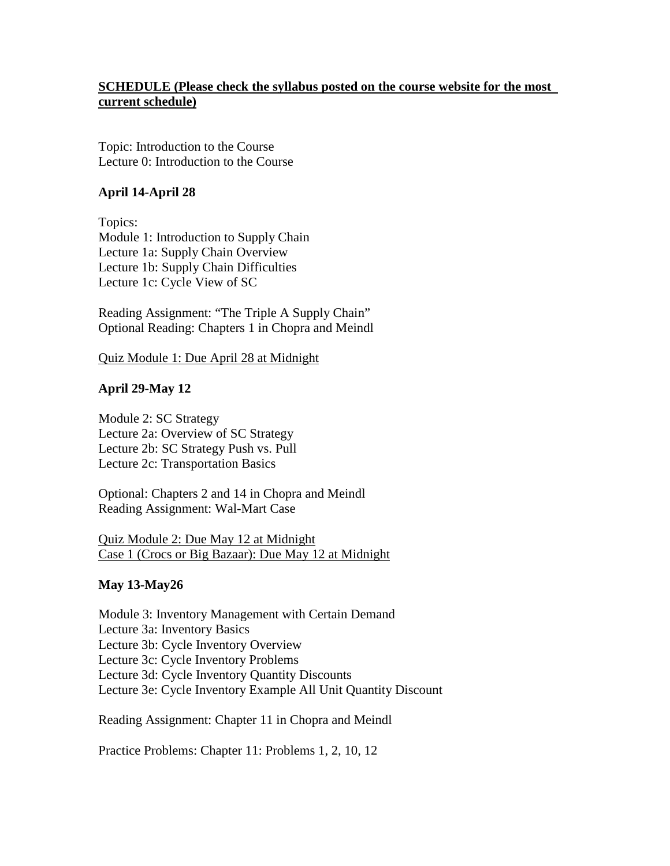## **SCHEDULE (Please check the syllabus posted on the course website for the most current schedule)**

Topic: Introduction to the Course Lecture 0: Introduction to the Course

## **April 14-April 28**

Topics: Module 1: Introduction to Supply Chain Lecture 1a: Supply Chain Overview Lecture 1b: Supply Chain Difficulties Lecture 1c: Cycle View of SC

Reading Assignment: "The Triple A Supply Chain" Optional Reading: Chapters 1 in Chopra and Meindl

Quiz Module 1: Due April 28 at Midnight

## **April 29-May 12**

Module 2: SC Strategy Lecture 2a: Overview of SC Strategy Lecture 2b: SC Strategy Push vs. Pull Lecture 2c: Transportation Basics

Optional: Chapters 2 and 14 in Chopra and Meindl Reading Assignment: Wal-Mart Case

Quiz Module 2: Due May 12 at Midnight Case 1 (Crocs or Big Bazaar): Due May 12 at Midnight

#### **May 13-May26**

Module 3: Inventory Management with Certain Demand Lecture 3a: Inventory Basics Lecture 3b: Cycle Inventory Overview Lecture 3c: Cycle Inventory Problems Lecture 3d: Cycle Inventory Quantity Discounts Lecture 3e: Cycle Inventory Example All Unit Quantity Discount

Reading Assignment: Chapter 11 in Chopra and Meindl

Practice Problems: Chapter 11: Problems 1, 2, 10, 12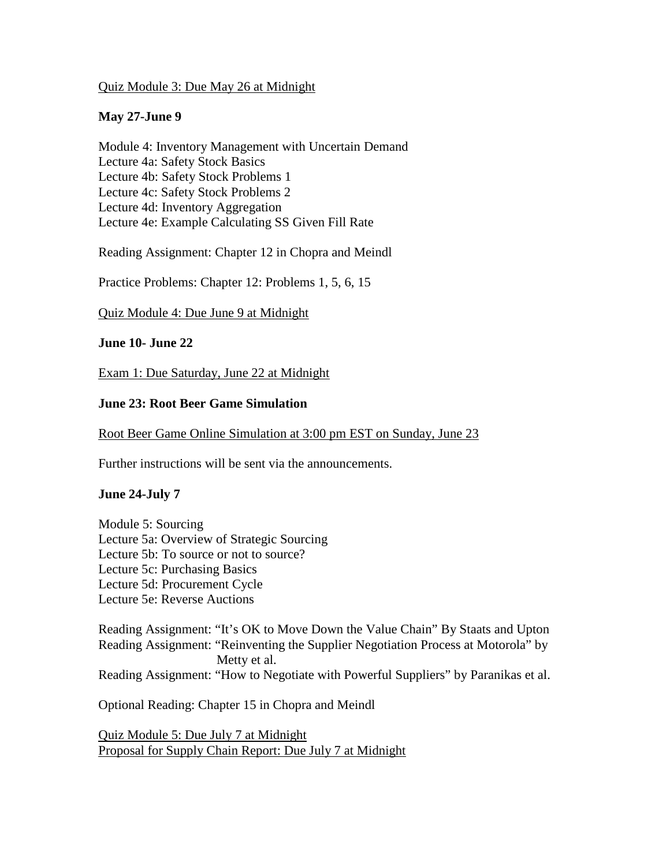#### Quiz Module 3: Due May 26 at Midnight

### **May 27-June 9**

Module 4: Inventory Management with Uncertain Demand Lecture 4a: Safety Stock Basics Lecture 4b: Safety Stock Problems 1 Lecture 4c: Safety Stock Problems 2 Lecture 4d: Inventory Aggregation Lecture 4e: Example Calculating SS Given Fill Rate

Reading Assignment: Chapter 12 in Chopra and Meindl

Practice Problems: Chapter 12: Problems 1, 5, 6, 15

Quiz Module 4: Due June 9 at Midnight

#### **June 10- June 22**

Exam 1: Due Saturday, June 22 at Midnight

#### **June 23: Root Beer Game Simulation**

#### Root Beer Game Online Simulation at 3:00 pm EST on Sunday, June 23

Further instructions will be sent via the announcements.

#### **June 24-July 7**

Module 5: Sourcing Lecture 5a: Overview of Strategic Sourcing Lecture 5b: To source or not to source? Lecture 5c: Purchasing Basics Lecture 5d: Procurement Cycle Lecture 5e: Reverse Auctions

Reading Assignment: "It's OK to Move Down the Value Chain" By Staats and Upton Reading Assignment: "Reinventing the Supplier Negotiation Process at Motorola" by Metty et al. Reading Assignment: "How to Negotiate with Powerful Suppliers" by Paranikas et al.

Optional Reading: Chapter 15 in Chopra and Meindl

Quiz Module 5: Due July 7 at Midnight Proposal for Supply Chain Report: Due July 7 at Midnight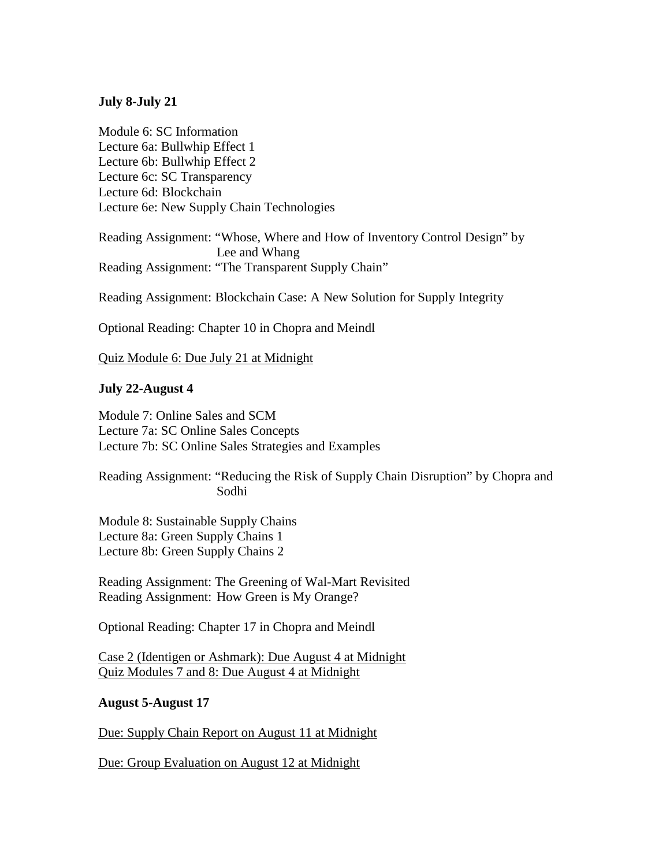#### **July 8-July 21**

Module 6: SC Information Lecture 6a: Bullwhip Effect 1 Lecture 6b: Bullwhip Effect 2 Lecture 6c: SC Transparency Lecture 6d: Blockchain Lecture 6e: New Supply Chain Technologies

Reading Assignment: "Whose, Where and How of Inventory Control Design" by Lee and Whang Reading Assignment: "The Transparent Supply Chain"

Reading Assignment: Blockchain Case: A New Solution for Supply Integrity

Optional Reading: Chapter 10 in Chopra and Meindl

Quiz Module 6: Due July 21 at Midnight

#### **July 22-August 4**

Module 7: Online Sales and SCM Lecture 7a: SC Online Sales Concepts Lecture 7b: SC Online Sales Strategies and Examples

Reading Assignment: "Reducing the Risk of Supply Chain Disruption" by Chopra and Sodhi

Module 8: Sustainable Supply Chains Lecture 8a: Green Supply Chains 1 Lecture 8b: Green Supply Chains 2

Reading Assignment: The Greening of Wal-Mart Revisited Reading Assignment: How Green is My Orange?

Optional Reading: Chapter 17 in Chopra and Meindl

Case 2 (Identigen or Ashmark): Due August 4 at Midnight Quiz Modules 7 and 8: Due August 4 at Midnight

#### **August 5-August 17**

Due: Supply Chain Report on August 11 at Midnight

Due: Group Evaluation on August 12 at Midnight